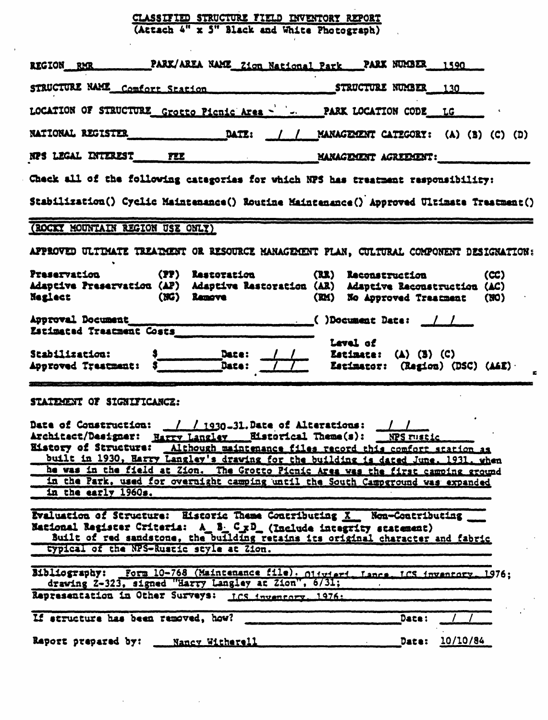## CLASSIFIED STRUCTURE FIELD INVENTORY REPORT<br>(Attach 4" x 3" Black and White Photograph)

| REGION RMR PARK/AREA NAME Zion National Park PARK NUMBER 1590                                                                                                                                                                                                                                                                                                                                                                                                                                                                       |                     |      |  |  |  |
|-------------------------------------------------------------------------------------------------------------------------------------------------------------------------------------------------------------------------------------------------------------------------------------------------------------------------------------------------------------------------------------------------------------------------------------------------------------------------------------------------------------------------------------|---------------------|------|--|--|--|
| STRUCTURE NAME Comfort Station STRUCTURE NUMBER 130                                                                                                                                                                                                                                                                                                                                                                                                                                                                                 |                     |      |  |  |  |
| LOCATION OF STRUCTURE Grotto Picnic Area -   J. PARK LOCATION CODE LG                                                                                                                                                                                                                                                                                                                                                                                                                                                               |                     |      |  |  |  |
|                                                                                                                                                                                                                                                                                                                                                                                                                                                                                                                                     |                     |      |  |  |  |
| NPS LEGAL INTEREST FEE MANAGEMENT AGREEMENT:                                                                                                                                                                                                                                                                                                                                                                                                                                                                                        |                     |      |  |  |  |
| Check all of the following categories for which NPS has treatment responsibility:                                                                                                                                                                                                                                                                                                                                                                                                                                                   |                     |      |  |  |  |
| Stabilization() Cyclic Maintenance() Routine Maintenance() Approved Ultimate Treatment()                                                                                                                                                                                                                                                                                                                                                                                                                                            |                     |      |  |  |  |
| (ROCKY MOUNTAIN REGION USE ONLY)                                                                                                                                                                                                                                                                                                                                                                                                                                                                                                    |                     |      |  |  |  |
| APPROVED ULTIMATE TREAIMENT OR RESOURCE MANAGEMENT PLAN, CULTURAL COMPONENT DESIGNATION:                                                                                                                                                                                                                                                                                                                                                                                                                                            |                     |      |  |  |  |
| Preservation (PP) Restoration<br>Adaptive Preservation (AP) Adaptive Restoration (AR) Adaptive Reconstruction (AC)<br>Neglect (NG) Remove<br>(RM) No Approved Treatment (NO)                                                                                                                                                                                                                                                                                                                                                        | (RR) Reconstruction | (CC) |  |  |  |
| Estimated Treatment Costs                                                                                                                                                                                                                                                                                                                                                                                                                                                                                                           |                     |      |  |  |  |
| Lavel of<br>Stabilization: 3<br>Approved Trastment: 3<br>Date: /// Batimate: (A) (B) (C)<br>Estimator: (Region) (DSC) (A&E)                                                                                                                                                                                                                                                                                                                                                                                                         |                     |      |  |  |  |
| STATEMENT OF SIGNIFICANCZ:                                                                                                                                                                                                                                                                                                                                                                                                                                                                                                          |                     |      |  |  |  |
| Date of Construction: $\frac{1}{1930}$ -31. Date of Alterations: $\frac{1}{100}$<br>Architact/Designer: Harry Langley ___ Eistorical Theme(s): ___ NPS rustic<br>History of Structure: Although maintenance files record this comfort station as<br>built in 1930, Harry Langley's drawing for the building is dated June. 1931, when he was in the field at Zion. The Grotto Picnic Area was the first camping ground<br>in the Park, used for overnight camping until the South Campground was expanded<br>in the early $1960a$ . |                     |      |  |  |  |
| Evaluation of Structure: Eistoric Theme Contributing X Non-Contributing<br>National Register Criteria: A_B_C_xD_(Include integrity statement)<br>Built of red sandstone, the building retains its original character and fabric<br>typical of the NPS-Rustic style at Zion.                                                                                                                                                                                                                                                         |                     |      |  |  |  |
| Bibliography: Form 10-768 (Maintenance file), 014vieri, Lance, ICS inventory, 1976;<br>drawing 2-323, signed "Harry Langley at Zion", 6/31;                                                                                                                                                                                                                                                                                                                                                                                         |                     |      |  |  |  |
| Representation in Other Surveys: ICS inventory. 1976:                                                                                                                                                                                                                                                                                                                                                                                                                                                                               |                     |      |  |  |  |
| If structure has been removed, how?                                                                                                                                                                                                                                                                                                                                                                                                                                                                                                 | Date:               |      |  |  |  |
| Raport prepared by: Mancy Witherell                                                                                                                                                                                                                                                                                                                                                                                                                                                                                                 | Date: 10/10/84      |      |  |  |  |

 $\bar{\gamma}$ 

 $\sim$   $\sim$